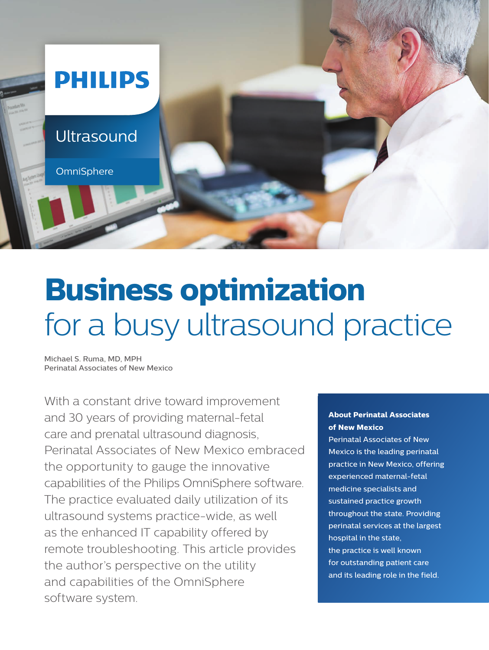

# **Business optimization** for a busy ultrasound practice

Michael S. Ruma, MD, MPH Perinatal Associates of New Mexico

With a constant drive toward improvement and 30 years of providing maternal-fetal care and prenatal ultrasound diagnosis, Perinatal Associates of New Mexico embraced the opportunity to gauge the innovative capabilities of the Philips OmniSphere software. The practice evaluated daily utilization of its ultrasound systems practice-wide, as well as the enhanced IT capability offered by remote troubleshooting. This article provides the author's perspective on the utility and capabilities of the OmniSphere software system.

#### **About Perinatal Associates of New Mexico**

Perinatal Associates of New Mexico is the leading perinatal practice in New Mexico, offering experienced maternal-fetal medicine specialists and sustained practice growth throughout the state. Providing perinatal services at the largest hospital in the state, the practice is well known for outstanding patient care and its leading role in the field.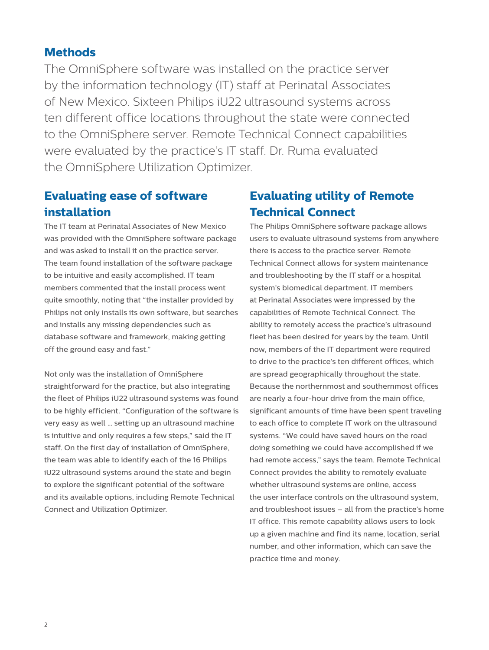### **Methods**

The OmniSphere software was installed on the practice server by the information technology (IT) staff at Perinatal Associates of New Mexico. Sixteen Philips iU22 ultrasound systems across ten different office locations throughout the state were connected to the OmniSphere server. Remote Technical Connect capabilities were evaluated by the practice's IT staff. Dr. Ruma evaluated the OmniSphere Utilization Optimizer.

### **Evaluating ease of software installation**

The IT team at Perinatal Associates of New Mexico was provided with the OmniSphere software package and was asked to install it on the practice server. The team found installation of the software package to be intuitive and easily accomplished. IT team members commented that the install process went quite smoothly, noting that "the installer provided by Philips not only installs its own software, but searches and installs any missing dependencies such as database software and framework, making getting off the ground easy and fast."

Not only was the installation of OmniSphere straightforward for the practice, but also integrating the fleet of Philips iU22 ultrasound systems was found to be highly efficient. "Configuration of the software is very easy as well … setting up an ultrasound machine is intuitive and only requires a few steps," said the IT staff. On the first day of installation of OmniSphere, the team was able to identify each of the 16 Philips iU22 ultrasound systems around the state and begin to explore the significant potential of the software and its available options, including Remote Technical Connect and Utilization Optimizer.

### **Evaluating utility of Remote Technical Connect**

The Philips OmniSphere software package allows users to evaluate ultrasound systems from anywhere there is access to the practice server. Remote Technical Connect allows for system maintenance and troubleshooting by the IT staff or a hospital system's biomedical department. IT members at Perinatal Associates were impressed by the capabilities of Remote Technical Connect. The ability to remotely access the practice's ultrasound fleet has been desired for years by the team. Until now, members of the IT department were required to drive to the practice's ten different offices, which are spread geographically throughout the state. Because the northernmost and southernmost offices are nearly a four-hour drive from the main office, significant amounts of time have been spent traveling to each office to complete IT work on the ultrasound systems. "We could have saved hours on the road doing something we could have accomplished if we had remote access," says the team. Remote Technical Connect provides the ability to remotely evaluate whether ultrasound systems are online, access the user interface controls on the ultrasound system, and troubleshoot issues – all from the practice's home IT office. This remote capability allows users to look up a given machine and find its name, location, serial number, and other information, which can save the practice time and money.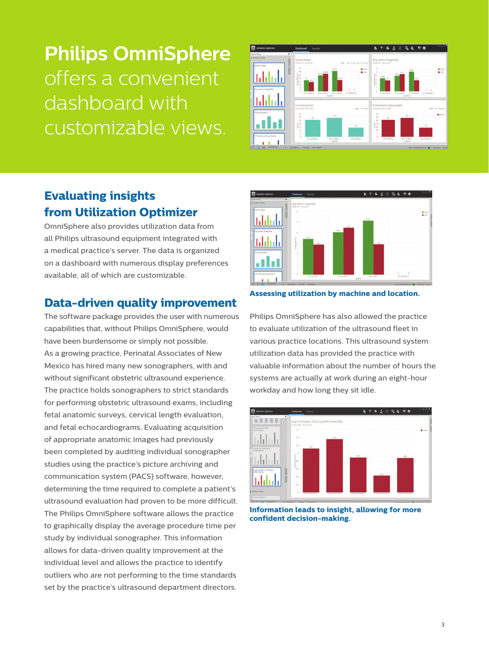## **Philips OmniSphere** offers a convenient dashboard with customizable views.



### **Evaluating insights from Utilization Optimizer**

OmniSphere also provides utilization data from all Philips ultrasound equipment integrated with a medical practice's server. The data is organized on a dashboard with numerous display preferences available, all of which are customizable.

### **Data-driven quality improvement**

The software package provides the user with numerous capabilities that, without Philips OmniSphere, would have been burdensome or simply not possible. As a growing practice, Perinatal Associates of New Mexico has hired many new sonographers, with and without significant obstetric ultrasound experience. The practice holds sonographers to strict standards for performing obstetric ultrasound exams, including fetal anatomic surveys, cervical length evaluation, and fetal echocardiograms. Evaluating acquisition of appropriate anatomic images had previously been completed by auditing individual sonographer studies using the practice's picture archiving and communication system (PACS) software, however, determining the time required to complete a patient's ultrasound evaluation had proven to be more difficult. The Philips OmniSphere software allows the practice to graphically display the average procedure time per study by individual sonographer. This information allows for data-driven quality improvement at the individual level and allows the practice to identify outliers who are not performing to the time standards set by the practice's ultrasound department directors.



**Assessing utilization by machine and location.**

Philips OmniSphere has also allowed the practice to evaluate utilization of the ultrasound fleet in various practice locations. This ultrasound system utilization data has provided the practice with valuable information about the number of hours the systems are actually at work during an eight-hour workday and how long they sit idle.



**Information leads to insight, allowing for more confident decision-making.**